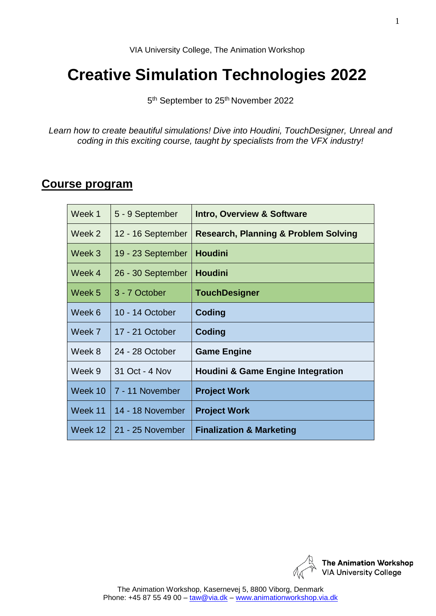# **Creative Simulation Technologies 2022**

5<sup>th</sup> September to 25<sup>th</sup> November 2022

*Learn how to create beautiful simulations! Dive into Houdini, TouchDesigner, Unreal and coding in this exciting course, taught by specialists from the VFX industry!*

### **Course program**

| Week 1  | 5 - 9 September    | <b>Intro, Overview &amp; Software</b>           |
|---------|--------------------|-------------------------------------------------|
| Week 2  | 12 - 16 September  | <b>Research, Planning &amp; Problem Solving</b> |
| Week 3  | 19 - 23 September  | <b>Houdini</b>                                  |
| Week 4  | 26 - 30 September  | <b>Houdini</b>                                  |
| Week 5  | 3 - 7 October      | <b>TouchDesigner</b>                            |
| Week 6  | 10 - 14 October    | Coding                                          |
| Week 7  | 17 - 21 October    | Coding                                          |
| Week 8  | 24 - 28 October    | <b>Game Engine</b>                              |
| Week 9  | 31 Oct - 4 Nov     | <b>Houdini &amp; Game Engine Integration</b>    |
| Week 10 | 7 - 11 November    | <b>Project Work</b>                             |
| Week 11 | 14 - 18 November   | <b>Project Work</b>                             |
| Week 12 | l 21 - 25 November | <b>Finalization &amp; Marketing</b>             |

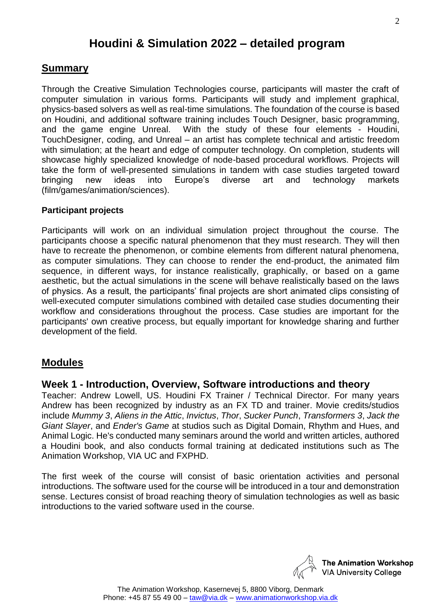# **Houdini & Simulation 2022 – detailed program**

#### **Summary**

Through the Creative Simulation Technologies course, participants will master the craft of computer simulation in various forms. Participants will study and implement graphical, physics-based solvers as well as real-time simulations. The foundation of the course is based on Houdini, and additional software training includes Touch Designer, basic programming, and the game engine Unreal. With the study of these four elements - Houdini, TouchDesigner, coding, and Unreal – an artist has complete technical and artistic freedom with simulation; at the heart and edge of computer technology. On completion, students will showcase highly specialized knowledge of node-based procedural workflows. Projects will take the form of well-presented simulations in tandem with case studies targeted toward bringing new ideas into Europe's diverse art and technology markets (film/games/animation/sciences).

#### **Participant projects**

Participants will work on an individual simulation project throughout the course. The participants choose a specific natural phenomenon that they must research. They will then have to recreate the phenomenon, or combine elements from different natural phenomena, as computer simulations. They can choose to render the end-product, the animated film sequence, in different ways, for instance realistically, graphically, or based on a game aesthetic, but the actual simulations in the scene will behave realistically based on the laws of physics. As a result, the participants' final projects are short animated clips consisting of well-executed computer simulations combined with detailed case studies documenting their workflow and considerations throughout the process. Case studies are important for the participants' own creative process, but equally important for knowledge sharing and further development of the field.

#### **Modules**

#### **Week 1 - Introduction, Overview, Software introductions and theory**

Teacher: Andrew Lowell, US. Houdini FX Trainer / Technical Director. For many years Andrew has been recognized by industry as an FX TD and trainer. Movie credits/studios include *Mummy 3*, *Aliens in the Attic*, *Invictus*, *Thor*, *Sucker Punch*, *Transformers 3*, *Jack the Giant Slayer*, and *Ender's Game* at studios such as Digital Domain, Rhythm and Hues, and Animal Logic. He's conducted many seminars around the world and written articles, authored a Houdini book, and also conducts formal training at dedicated institutions such as The Animation Workshop, VIA UC and FXPHD.

The first week of the course will consist of basic orientation activities and personal introductions. The software used for the course will be introduced in a tour and demonstration sense. Lectures consist of broad reaching theory of simulation technologies as well as basic introductions to the varied software used in the course.

> **The Animation Workshop VIA University College**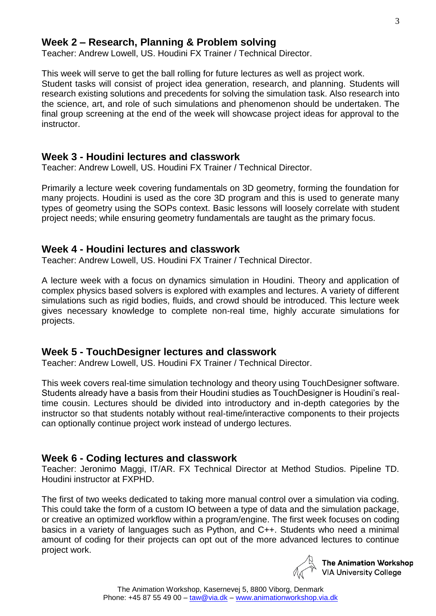#### **Week 2 – Research, Planning & Problem solving**

Teacher: Andrew Lowell, US. Houdini FX Trainer / Technical Director.

This week will serve to get the ball rolling for future lectures as well as project work. Student tasks will consist of project idea generation, research, and planning. Students will research existing solutions and precedents for solving the simulation task. Also research into the science, art, and role of such simulations and phenomenon should be undertaken. The final group screening at the end of the week will showcase project ideas for approval to the instructor.

#### **Week 3 - Houdini lectures and classwork**

Teacher: Andrew Lowell, US. Houdini FX Trainer / Technical Director.

Primarily a lecture week covering fundamentals on 3D geometry, forming the foundation for many projects. Houdini is used as the core 3D program and this is used to generate many types of geometry using the SOPs context. Basic lessons will loosely correlate with student project needs; while ensuring geometry fundamentals are taught as the primary focus.

#### **Week 4 - Houdini lectures and classwork**

Teacher: Andrew Lowell, US. Houdini FX Trainer / Technical Director.

A lecture week with a focus on dynamics simulation in Houdini. Theory and application of complex physics based solvers is explored with examples and lectures. A variety of different simulations such as rigid bodies, fluids, and crowd should be introduced. This lecture week gives necessary knowledge to complete non-real time, highly accurate simulations for projects.

#### **Week 5 - TouchDesigner lectures and classwork**

Teacher: Andrew Lowell, US. Houdini FX Trainer / Technical Director.

This week covers real-time simulation technology and theory using TouchDesigner software. Students already have a basis from their Houdini studies as TouchDesigner is Houdini's realtime cousin. Lectures should be divided into introductory and in-depth categories by the instructor so that students notably without real-time/interactive components to their projects can optionally continue project work instead of undergo lectures.

#### **Week 6 - Coding lectures and classwork**

Teacher: Jeronimo Maggi, IT/AR. FX Technical Director at Method Studios. Pipeline TD. Houdini instructor at FXPHD.

The first of two weeks dedicated to taking more manual control over a simulation via coding. This could take the form of a custom IO between a type of data and the simulation package, or creative an optimized workflow within a program/engine. The first week focuses on coding basics in a variety of languages such as Python, and C++. Students who need a minimal amount of coding for their projects can opt out of the more advanced lectures to continue project work.



**The Animation Workshop VIA University College**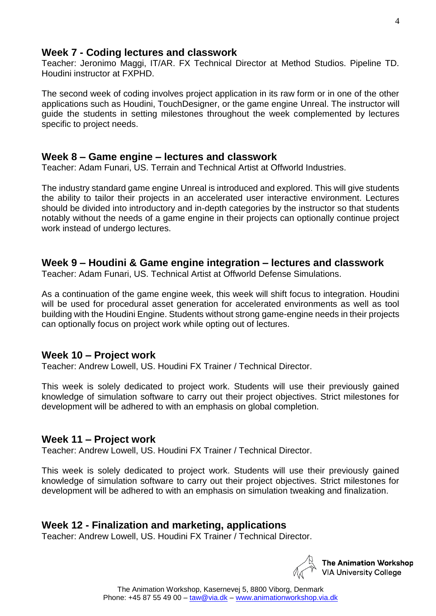# **Week 7 - Coding lectures and classwork**

Teacher: Jeronimo Maggi, IT/AR. FX Technical Director at Method Studios. Pipeline TD. Houdini instructor at FXPHD.

The second week of coding involves project application in its raw form or in one of the other applications such as Houdini, TouchDesigner, or the game engine Unreal. The instructor will guide the students in setting milestones throughout the week complemented by lectures specific to project needs.

# **Week 8 – Game engine – lectures and classwork**

Teacher: Adam Funari, US. Terrain and Technical Artist at Offworld Industries.

The industry standard game engine Unreal is introduced and explored. This will give students the ability to tailor their projects in an accelerated user interactive environment. Lectures should be divided into introductory and in-depth categories by the instructor so that students notably without the needs of a game engine in their projects can optionally continue project work instead of undergo lectures.

# **Week 9 – Houdini & Game engine integration – lectures and classwork**

Teacher: Adam Funari, US. Technical Artist at Offworld Defense Simulations.

As a continuation of the game engine week, this week will shift focus to integration. Houdini will be used for procedural asset generation for accelerated environments as well as tool building with the Houdini Engine. Students without strong game-engine needs in their projects can optionally focus on project work while opting out of lectures.

# **Week 10 – Project work**

Teacher: Andrew Lowell, US. Houdini FX Trainer / Technical Director.

This week is solely dedicated to project work. Students will use their previously gained knowledge of simulation software to carry out their project objectives. Strict milestones for development will be adhered to with an emphasis on global completion.

# **Week 11 – Project work**

Teacher: Andrew Lowell, US. Houdini FX Trainer / Technical Director.

This week is solely dedicated to project work. Students will use their previously gained knowledge of simulation software to carry out their project objectives. Strict milestones for development will be adhered to with an emphasis on simulation tweaking and finalization.

# **Week 12 - Finalization and marketing, applications**

Teacher: Andrew Lowell, US. Houdini FX Trainer / Technical Director.